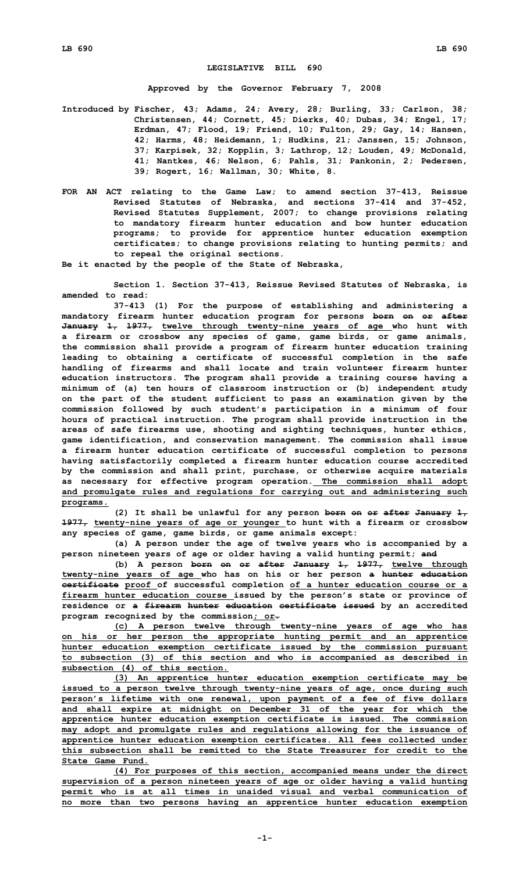## **LEGISLATIVE BILL 690**

**Approved by the Governor February 7, 2008**

**Introduced by Fischer, 43; Adams, 24; Avery, 28; Burling, 33; Carlson, 38; Christensen, 44; Cornett, 45; Dierks, 40; Dubas, 34; Engel, 17; Erdman, 47; Flood, 19; Friend, 10; Fulton, 29; Gay, 14; Hansen, 42; Harms, 48; Heidemann, 1; Hudkins, 21; Janssen, 15; Johnson, 37; Karpisek, 32; Kopplin, 3; Lathrop, 12; Louden, 49; McDonald, 41; Nantkes, 46; Nelson, 6; Pahls, 31; Pankonin, 2; Pedersen, 39; Rogert, 16; Wallman, 30; White, 8.**

**FOR AN ACT relating to the Game Law; to amend section 37-413, Reissue Revised Statutes of Nebraska, and sections 37-414 and 37-452, Revised Statutes Supplement, 2007; to change provisions relating to mandatory firearm hunter education and bow hunter education programs; to provide for apprentice hunter education exemption certificates; to change provisions relating to hunting permits; and to repeal the original sections.**

**Be it enacted by the people of the State of Nebraska,**

**Section 1. Section 37-413, Reissue Revised Statutes of Nebraska, is amended to read:**

**37-413 (1) For the purpose of establishing and administering <sup>a</sup> mandatory firearm hunter education program for persons born on or after January 1, 1977, twelve through twenty-nine years of age who hunt with <sup>a</sup> firearm or crossbow any species of game, game birds, or game animals, the commission shall provide <sup>a</sup> program of firearm hunter education training leading to obtaining <sup>a</sup> certificate of successful completion in the safe handling of firearms and shall locate and train volunteer firearm hunter education instructors. The program shall provide <sup>a</sup> training course having <sup>a</sup> minimum of (a) ten hours of classroom instruction or (b) independent study on the part of the student sufficient to pass an examination given by the commission followed by such student's participation in <sup>a</sup> minimum of four hours of practical instruction. The program shall provide instruction in the areas of safe firearms use, shooting and sighting techniques, hunter ethics, game identification, and conservation management. The commission shall issue <sup>a</sup> firearm hunter education certificate of successful completion to persons having satisfactorily completed <sup>a</sup> firearm hunter education course accredited by the commission and shall print, purchase, or otherwise acquire materials as necessary for effective program operation. The commission shall adopt and promulgate rules and regulations for carrying out and administering such programs.**

**(2) It shall be unlawful for any person born on or after January 1, 1977, twenty-nine years of age or younger to hunt with <sup>a</sup> firearm or crossbow any species of game, game birds, or game animals except:**

**(a) <sup>A</sup> person under the age of twelve years who is accompanied by <sup>a</sup> person nineteen years of age or older having <sup>a</sup> valid hunting permit; and**

**(b) <sup>A</sup> person born on or after January 1, 1977, twelve through twenty-nine years of age who has on his or her person <sup>a</sup> hunter education certificate proof of successful completion of <sup>a</sup> hunter education course or <sup>a</sup> firearm hunter education course issued by the person's state or province of residence or <sup>a</sup> firearm hunter education certificate issued by an accredited program recognized by the commission; or.**

**(c) <sup>A</sup> person twelve through twenty-nine years of age who has on his or her person the appropriate hunting permit and an apprentice hunter education exemption certificate issued by the commission pursuant to subsection (3) of this section and who is accompanied as described in subsection (4) of this section.**

**(3) An apprentice hunter education exemption certificate may be issued to <sup>a</sup> person twelve through twenty-nine years of age, once during such person's lifetime with one renewal, upon payment of <sup>a</sup> fee of five dollars and shall expire at midnight on December 31 of the year for which the apprentice hunter education exemption certificate is issued. The commission may adopt and promulgate rules and regulations allowing for the issuance of apprentice hunter education exemption certificates. All fees collected under this subsection shall be remitted to the State Treasurer for credit to the State Game Fund.**

**(4) For purposes of this section, accompanied means under the direct supervision of <sup>a</sup> person nineteen years of age or older having <sup>a</sup> valid hunting permit who is at all times in unaided visual and verbal communication of no more than two persons having an apprentice hunter education exemption**